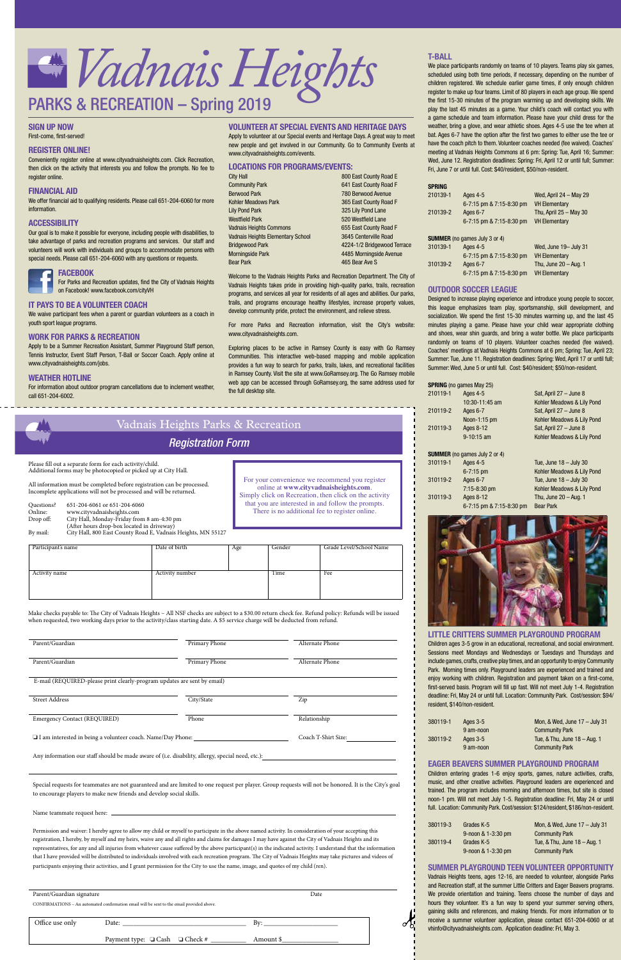

## **T-BALL**

We place participants randomly on teams of 10 players. Teams play six games, scheduled using both time periods, if necessary, depending on the number of children registered. We schedule earlier game times, if only enough children register to make up four teams. Limit of 80 players in each age group. We spend the first 15-30 minutes of the program warming up and developing skills. We play the last 45 minutes as a game. Your child's coach will contact you with a game schedule and team information. Please have your child dress for the weather, bring a glove, and wear athletic shoes. Ages 4-5 use the tee when at bat. Ages 6-7 have the option after the first two games to either use the tee or have the coach pitch to them. Volunteer coaches needed (fee waived). Coaches' meeting at Vadnais Heights Commons at 6 pm: Spring: Tue, April 16; Summer: Wed, June 12. Registration deadlines: Spring: Fri, April 12 or until full; Summer: Fri, June 7 or until full. Cost: \$40/resident, \$50/non-resident.

#### **SPRING**

**LITTLE CRITTERS SUMMER PLAYGROUND PROGRAM** Children ages 3-5 grow in an educational, recreational, and social environment. Sessions meet Mondays and Wednesdays or Tuesdays and Thursdays and include games, crafts, creative play times, and an opportunity to enjoy Community Park. Morning times only. Playground leaders are experienced and trained and enjoy working with children. Registration and payment taken on a first-come, first-served basis. Program will fill up fast. Will not meet July 1-4. Registration deadline: Fri, May 24 or until full. Location: Community Park. Cost/session: \$94/ resident, \$140/non-resident.

| 210139-1 | Ages 4-5<br>6-7:15 pm & 7:15-8:30 pm | Wed, April $24 -$ May 29<br><b>VH Elementary</b> |
|----------|--------------------------------------|--------------------------------------------------|
| 210139-2 | Ages 6-7<br>6-7:15 pm & 7:15-8:30 pm | Thu, April $25 -$ May 30<br><b>VH Elementary</b> |
|          | <b>SUMMER</b> (no games July 3 or 4) |                                                  |
| 310139-1 | Ages 4-5                             | Wed, June 19- July 31                            |
|          | 6-7:15 pm & 7:15-8:30 pm             | <b>VH Elementary</b>                             |
| 310139-2 | Ages 6-7                             | Thu, June $20 - Aug. 1$                          |
|          | 6-7:15 pm & 7:15-8:30 pm             | <b>VH Elementary</b>                             |

## **OUTDOOR SOCCER LEAGUE**

Designed to increase playing experience and introduce young people to soccer, this league emphasizes team play, sportsmanship, skill development, and socialization. We spend the first 15-30 minutes warming up, and the last 45 minutes playing a game. Please have your child wear appropriate clothing and shoes, wear shin guards, and bring a water bottle. We place participants randomly on teams of 10 players. Volunteer coaches needed (fee waived). Coaches' meetings at Vadnais Heights Commons at 6 pm; Spring: Tue, April 23; Summer: Tue, June 11. Registration deadlines: Spring: Wed, April 17 or until full; Summer: Wed, June 5 or until full. Cost: \$40/resident; \$50/non-resident.

Conveniently register online at www.cityvadnaisheights.com. Click Recreation, then click on the activity that interests you and follow the prompts. No fee to register online.

|          | <b>SPRING</b> (no games May 25)      |                            |
|----------|--------------------------------------|----------------------------|
| 210119-1 | Ages 4-5                             | Sat, April 27 - June 8     |
|          | 10:30-11:45 am                       | Kohler Meadows & Lily Pond |
| 210119-2 | Ages 6-7                             | Sat, April 27 - June 8     |
|          | Noon-1:15 pm                         | Kohler Meadows & Lily Pond |
| 210119-3 | Ages 8-12                            | Sat, April 27 - June 8     |
|          | $9-10:15$ am                         | Kohler Meadows & Lily Pond |
|          |                                      |                            |
|          | <b>SUMMER</b> (no games July 2 or 4) |                            |
| 310119-1 | Ages 4-5                             | Tue, June $18 -$ July 30   |
|          | $6 - 7:15$ pm                        | Kohler Meadows & Lily Pond |
| 310119-2 | Ages 6-7                             | Tue, June $18 -$ July 30   |
|          | $7:15-8:30$ pm                       | Kohler Meadows & Lily Pond |
| 310119-3 | Ages 8-12                            | Thu, June $20 - Aug. 1$    |
|          | 6-7:15 pm & 7:15-8:30 pm             | <b>Bear Park</b>           |



| 380119-1 | Ages $3-5$ | Mon, & Wed, June $17 -$ July 31 |
|----------|------------|---------------------------------|
|          | 9 am-noon  | <b>Community Park</b>           |
| 380119-2 | Ages $3-5$ | Tue, & Thu, June 18 - Aug. 1    |
|          | 9 am-noon  | <b>Community Park</b>           |

## **EAGER BEAVERS SUMMER PLAYGROUND PROGRAM**

Children entering grades 1-6 enjoy sports, games, nature activities, crafts, music, and other creative activities. Playground leaders are experienced and trained. The program includes morning and afternoon times, but site is closed noon-1 pm. Will not meet July 1-5. Registration deadline: Fri, May 24 or until full. Location: Community Park. Cost/session: \$124/resident, \$186/non-resident.

| 380119-3 | Grades K-5         | Mon, & Wed, June $17 -$ July 31 |
|----------|--------------------|---------------------------------|
|          | 9-noon & 1-3:30 pm | <b>Community Park</b>           |
| 380119-4 | Grades K-5         | Tue, & Thu, June 18 – Aug. 1    |
|          | 9-noon & 1-3:30 pm | <b>Community Park</b>           |

#### **SUMMER PLAYGROUND TEEN VOLUNTEER OPPORTUNITY**

Vadnais Heights teens, ages 12-16, are needed to volunteer, alongside Parks and Recreation staff, at the summer Little Critters and Eager Beavers programs. We provide orientation and training. Teens choose the number of days and hours they volunteer. It's a fun way to spend your summer serving others, gaining skills and references, and making friends. For more information or to receive a summer volunteer application, please contact 651-204-6060 or at vhinfo@cityvadnaisheights.com. Application deadline: Fri, May 3.

## **SIGN UP NOW**

First-come, first-served!

## **REGISTER ONLINE!**

| Vadnais Heights Parks & Recreation<br><b>Registration Form</b> |                                                                                                                                                                                                                                                                                                                                                                                                                                        |                                  |     |                |                                                                                                                                                                                                                                                           |
|----------------------------------------------------------------|----------------------------------------------------------------------------------------------------------------------------------------------------------------------------------------------------------------------------------------------------------------------------------------------------------------------------------------------------------------------------------------------------------------------------------------|----------------------------------|-----|----------------|-----------------------------------------------------------------------------------------------------------------------------------------------------------------------------------------------------------------------------------------------------------|
| Questions?<br>Online:<br>Drop off:                             | Please fill out a separate form for each activity/child.<br>Additional forms may be photocopied or picked up at City Hall.<br>All information must be completed before registration can be processed.<br>Incomplete applications will not be processed and will be returned.<br>651-204-6061 or 651-204-6060<br>www.cityvadnaisheights.com<br>City Hall, Monday-Friday from 8 am-4:30 pm<br>(After hours drop-box located in driveway) |                                  |     |                | For your convenience we recommend you register<br>online at www.cityvadnaisheights.com.<br>Simply click on Recreation, then click on the activity<br>that you are interested in and follow the prompts.<br>There is no additional fee to register online. |
| By mail:                                                       | City Hall, 800 East County Road E, Vadnais Heights, MN 55127                                                                                                                                                                                                                                                                                                                                                                           |                                  |     |                |                                                                                                                                                                                                                                                           |
| Participant's name<br>Activity name                            |                                                                                                                                                                                                                                                                                                                                                                                                                                        | Date of birth<br>Activity number | Age | Gender<br>Time | Grade Level/School Name<br>Fee                                                                                                                                                                                                                            |

------------

## **FINANCIAL AID**

| Parent/Guardian signature                                                                 |                                                                                                                                                                                                                                | Date      |
|-------------------------------------------------------------------------------------------|--------------------------------------------------------------------------------------------------------------------------------------------------------------------------------------------------------------------------------|-----------|
| CONFIRMATIONS - An automated confirmation email will be sent to the email provided above. |                                                                                                                                                                                                                                |           |
|                                                                                           |                                                                                                                                                                                                                                |           |
| Office use only                                                                           | Date: the contract of the contract of the contract of the contract of the contract of the contract of the contract of the contract of the contract of the contract of the contract of the contract of the contract of the cont | By:       |
|                                                                                           | Payment type: $\Box$ Cash $\Box$ Check #                                                                                                                                                                                       | Amount \$ |
|                                                                                           |                                                                                                                                                                                                                                |           |

We offer financial aid to qualifying residents. Please call 651-204-6060 for more information.

## **ACCESSIBILITY**

Our goal is to make it possible for everyone, including people with disabilities, to take advantage of parks and recreation programs and services. Our staff and volunteers will work with individuals and groups to accommodate persons with special needs. Please call 651-204-6060 with any questions or requests.



 For Parks and Recreation updates, find the City of Vadnais Heights on Facebook! www.facebook.com/cityVH

## **IT PAYS TO BE A VOLUNTEER COACH**

We waive participant fees when a parent or guardian volunteers as a coach in youth sport league programs.

## **WORK FOR PARKS & RECREATION**

Apply to be a Summer Recreation Assistant, Summer Playground Staff person, Tennis Instructor, Event Staff Person, T-Ball or Soccer Coach. Apply online at www.cityvadnaisheights.com/jobs.

## **WEATHER HOTLINE**

For information about outdoor program cancellations due to inclement weather, call 651-204-6002.

## **VOLUNTEER AT SPECIAL EVENTS AND HERITAGE DAYS**

Apply to volunteer at our Special events and Heritage Days. A great way to meet new people and get involved in our Community. Go to Community Events at www.cityvadnaisheights.com/events.

## **LOCATIONS FOR PROGRAMS/EVENTS:**

| ity Hall                         | 800 East County Road E      |
|----------------------------------|-----------------------------|
| Community Park                   | 641 East County Road F      |
| <b>Serwood Park</b>              | 780 Berwood Avenue          |
| Ohler Meadows Park               | 365 East County Road F      |
| ily Pond Park                    | 325 Lily Pond Lane          |
| Vestfield Park                   | 520 Westfield Lane          |
| adnais Heights Commons           | 655 East County Road F      |
| adnais Heights Elementary School | 3645 Centerville Road       |
| <b>Iridgewood Park</b>           | 4224-1/2 Bridgewood Terrace |
| <b>Morningside Park</b>          | 4485 Morningside Avenue     |
| ear Park                         | 465 Bear Ave S              |

Welcome to the Vadnais Heights Parks and Recreation Department. The City of Vadnais Heights takes pride in providing high-quality parks, trails, recreation programs, and services all year for residents of all ages and abilities. Our parks, trails, and programs encourage healthy lifestyles, increase property values, develop community pride, protect the environment, and relieve stress.

For more Parks and Recreation information, visit the City's website: www.cityvadnaisheights.com.

Exploring places to be active in Ramsey County is easy with Go Ramsey Communities. This interactive web-based mapping and mobile application provides a fun way to search for parks, trails, lakes, and recreational facilities in Ramsey County. Visit the site at www.GoRamsey.org. The Go Ramsey mobile web app can be accessed through GoRamsey.org, the same address used for the full desktop site.

Make checks payable to: The City of Vadnais Heights – All NSF checks are subject to a \$30.00 return check fee. Refund policy: Refunds will be issued when requested, two working days prior to the activity/class starting date. A \$5 service charge will be deducted from refund.

| Parent/Guardian                                                          | Primary Phone | Alternate Phone |
|--------------------------------------------------------------------------|---------------|-----------------|
| Parent/Guardian                                                          | Primary Phone | Alternate Phone |
| E-mail (REQUIRED-please print clearly-program updates are sent by email) |               |                 |
| <b>Street Address</b>                                                    | City/State    | Zip             |

| Emergency Contact (REQUIRED)                                       | Phone | Relationship        |
|--------------------------------------------------------------------|-------|---------------------|
| $\Box$ I am interested in being a volunteer coach. Name/Day Phone: |       | Coach T-Shirt Size: |

Any information our staff should be made aware of (i.e. disability, allergy, special need, etc.):

 Special requests for teammates are not guaranteed and are limited to one request per player. Group requests will not be honored. It is the City's goal to encourage players to make new friends and develop social skills.

Name teammate request here:

 Permission and waiver: I hereby agree to allow my child or myself to participate in the above named activity. In consideration of your accepting this registration, I hereby, by myself and my heirs, waive any and all rights and claims for damages I may have against the City of Vadnais Heights and its representatives, for any and all injuries from whatever cause suffered by the above participant(s) in the indicated activity. I understand that the information that I have provided will be distributed to individuals involved with each recreation program. The City of Vadnais Heights may take pictures and videos of participants enjoying their activities, and I grant permission for the City to use the name, image, and quotes of my child (ren).